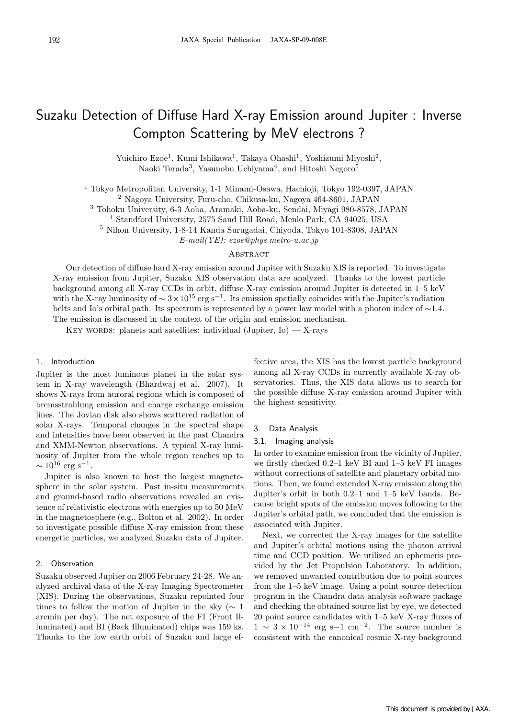# Suzaku Detection of Diffuse Hard X-ray Emission around Jupiter : Inverse Compton Scattering by MeV electrons ?

Yuichiro Ezoe<sup>1</sup>, Kumi Ishikawa<sup>1</sup>, Takaya Ohashi<sup>1</sup>, Yoshizumi Miyoshi<sup>2</sup>, Naoki Terada<sup>3</sup>, Yasunobu Uchiyama<sup>4</sup>, and Hitoshi Negoro<sup>5</sup>

<sup>1</sup> Tokyo Metropolitan University, 1-1 Minami-Osawa, Hachioji, Tokyo 192-0397, JAPAN

<sup>2</sup> Nagoya University, Furu-cho, Chikusa-ku, Nagoya 464-8601, JAPAN

<sup>3</sup> Tohoku University, 6-3 Aoba, Aramaki, Aoba-ku, Sendai, Miyagi 980-8578, JAPAN

<sup>4</sup> Standford University, 2575 Sand Hill Road, Menlo Park, CA 94025, USA

<sup>5</sup> Nihon University, 1-8-14 Kanda Surugadai, Chiyoda, Tokyo 101-8308, JAPAN

E-mail(YE): ezoe@phys.metro-u.ac.jp

## **ABSTRACT**

Our detection of diffuse hard X-ray emission around Jupiter with Suzaku XIS is reported. To investigate X-ray emission from Jupiter, Suzaku XIS observation data are analyzed. Thanks to the lowest particle background among all X-ray CCDs in orbit, diffuse X-ray emission around Jupiter is detected in 1–5 keV with the X-ray luminosity of  $\sim 3 \times 10^{15}$  erg s<sup>-1</sup>. Its emission spatially coincides with the Jupiter's radiation belts and Io's orbital path. Its spectrum is represented by a power law model with a photon index of ∼1.4. The emission is discussed in the context of the origin and emission mechanism.

KEY WORDS: planets and satellites: individual (Jupiter,  $I_0$ ) — X-rays

## 1. Introduction

Jupiter is the most luminous planet in the solar system in X-ray wavelength (Bhardwaj et al. 2007). It shows X-rays from auroral regions which is composed of bremsstrahlung emission and charge exchange emission lines. The Jovian disk also shows scattered radiation of solar X-rays. Temporal changes in the spectral shape and intensities have been observed in the past Chandra and XMM-Newton observations. A typical X-ray luminosity of Jupiter from the whole region reaches up to  $\sim 10^{16}$  erg s<sup>-1</sup>.

Jupiter is also known to host the largest magnetosphere in the solar system. Past in-situ measurements and ground-based radio observations revealed an existence of relativistic electrons with energies up to 50 MeV in the magnetosphere (e.g., Bolton et al. 2002). In order to investigate possible diffuse X-ray emission from these energetic particles, we analyzed Suzaku data of Jupiter.

#### 2. Observation

Suzaku observed Jupiter on 2006 February 24-28. We analyzed archival data of the X-ray Imaging Spectrometer (XIS). During the observations, Suzaku repointed four times to follow the motion of Jupiter in the sky ( $\sim 1$ arcmin per day). The net exposure of the FI (Front Illuminated) and BI (Back Illuminated) chips was 159 ks. Thanks to the low earth orbit of Suzaku and large effective area, the XIS has the lowest particle background among all X-ray CCDs in currently available X-ray observatories. Thus, the XIS data allows us to search for the possible diffuse X-ray emission around Jupiter with the highest sensitivity.

#### 3. Data Analysis

#### 3.1. Imaging analysis

In order to examine emission from the vicinity of Jupiter, we firstly checked 0.2–1 keV BI and 1–5 keV FI images without corrections of satellite and planetary orbital motions. Then, we found extended X-ray emission along the Jupiter's orbit in both 0.2–1 and 1–5 keV bands. Because bright spots of the emission moves following to the Jupiter's orbital path, we concluded that the emission is associated with Jupiter.

Next, we corrected the X-ray images for the satellite and Jupiter's orbital motions using the photon arrival time and CCD position. We utilized an ephemeris provided by the Jet Propulsion Laboratory. In addition, we removed unwanted contribution due to point sources from the 1–5 keV image. Using a point source detection program in the Chandra data analysis software package and checking the obtained source list by eye, we detected 20 point source candidates with 1–5 keV X-ray fluxes of  $1 \sim 3 \times 10^{-14}$  erg s–1 cm<sup>-2</sup>. The source number is consistent with the canonical cosmic X-ray background